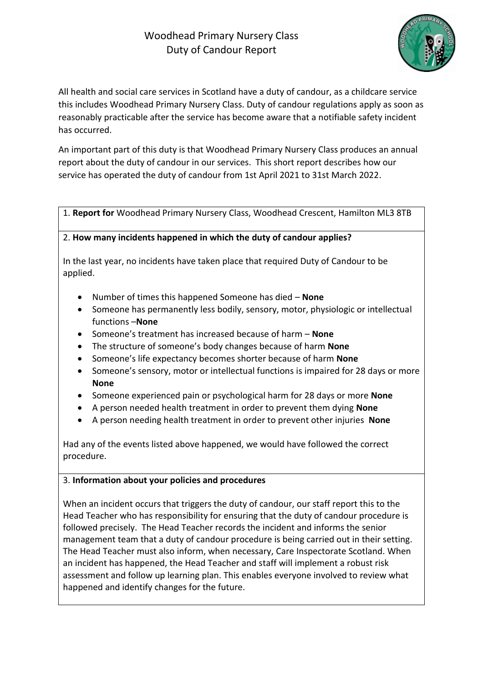

All health and social care services in Scotland have a duty of candour, as a childcare service this includes Woodhead Primary Nursery Class. [Duty of candour regulations](http://www.cqc.org.uk/content/regulation-20-duty-candour) apply as soon as reasonably practicable after the service has become aware that a notifiable safety incident has occurred.

An important part of this duty is that Woodhead Primary Nursery Class produces an annual report about the duty of candour in our services. This short report describes how our service has operated the duty of candour from 1st April 2021 to 31st March 2022.

1. **Report for** Woodhead Primary Nursery Class, Woodhead Crescent, Hamilton ML3 8TB

## 2. **How many incidents happened in which the duty of candour applies?**

In the last year, no incidents have taken place that required Duty of Candour to be applied.

- Number of times this happened Someone has died **None**
- Someone has permanently less bodily, sensory, motor, physiologic or intellectual functions –**None**
- Someone's treatment has increased because of harm **None**
- The structure of someone's body changes because of harm **None**
- Someone's life expectancy becomes shorter because of harm **None**
- Someone's sensory, motor or intellectual functions is impaired for 28 days or more **None**
- Someone experienced pain or psychological harm for 28 days or more **None**
- A person needed health treatment in order to prevent them dying **None**
- A person needing health treatment in order to prevent other injuries **None**

Had any of the events listed above happened, we would have followed the correct procedure.

## 3. **Information about your policies and procedures**

When an incident occurs that triggers the duty of candour, our staff report this to the Head Teacher who has responsibility for ensuring that the duty of candour procedure is followed precisely. The Head Teacher records the incident and informs the senior management team that a duty of candour procedure is being carried out in their setting. The Head Teacher must also inform, when necessary, Care Inspectorate Scotland. When an incident has happened, the Head Teacher and staff will implement a robust risk assessment and follow up learning plan. This enables everyone involved to review what happened and identify changes for the future.